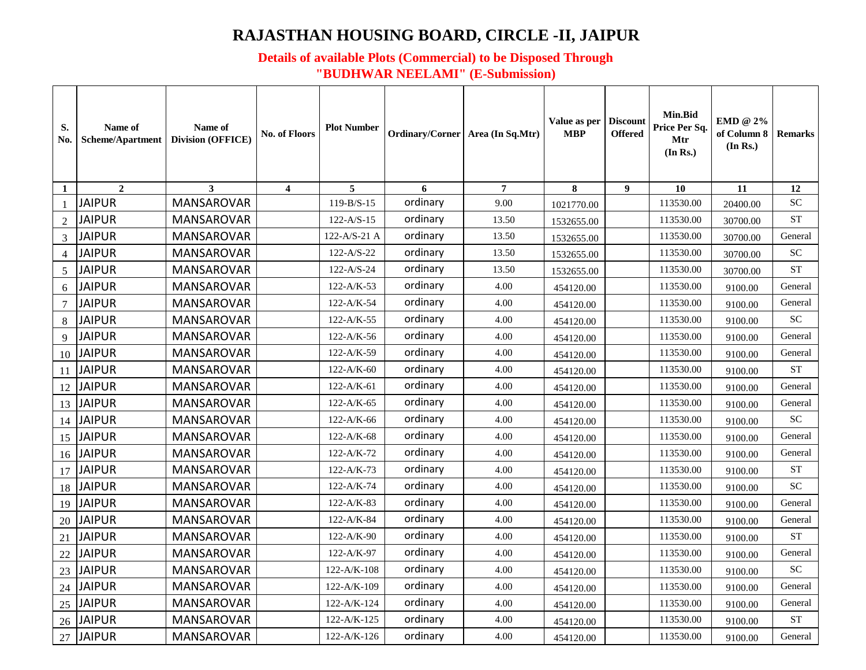## **RAJASTHAN HOUSING BOARD, CIRCLE -II, JAIPUR**

## **Details of available Plots (Commercial) to be Disposed Through "BUDHWAR NEELAMI" (E-Submission)**

| S.<br>No.      | Name of<br>Scheme/Apartment | Name of<br><b>Division (OFFICE)</b> | No. of Floors  | <b>Plot Number</b> | Ordinary/Corner Area (In Sq.Mtr) |                | Value as per<br>MBP | <b>Discount</b><br><b>Offered</b> | Min.Bid<br>Price Per Sq.<br>Mtr<br>(In Rs.) | EMD @ 2%<br>of Column 8<br>(In Rs.) | <b>Remarks</b> |
|----------------|-----------------------------|-------------------------------------|----------------|--------------------|----------------------------------|----------------|---------------------|-----------------------------------|---------------------------------------------|-------------------------------------|----------------|
| 1              | $\mathbf{2}$                | 3                                   | $\overline{4}$ | 5                  | 6                                | $\overline{7}$ | 8                   | 9                                 | 10                                          | 11                                  | 12             |
| $\mathbf{1}$   | <b>JAIPUR</b>               | <b>MANSAROVAR</b>                   |                | $119 - B/S - 15$   | ordinary                         | 9.00           | 1021770.00          |                                   | 113530.00                                   | 20400.00                            | <b>SC</b>      |
| $\overline{2}$ | <b>JAIPUR</b>               | <b>MANSAROVAR</b>                   |                | $122 - A/S - 15$   | ordinary                         | 13.50          | 1532655.00          |                                   | 113530.00                                   | 30700.00                            | <b>ST</b>      |
| $\overline{3}$ | <b>JAIPUR</b>               | MANSAROVAR                          |                | 122-A/S-21 A       | ordinary                         | 13.50          | 1532655.00          |                                   | 113530.00                                   | 30700.00                            | General        |
| $\overline{4}$ | <b>JAIPUR</b>               | <b>MANSAROVAR</b>                   |                | $122 - A/S - 22$   | ordinary                         | 13.50          | 1532655.00          |                                   | 113530.00                                   | 30700.00                            | SC             |
| 5              | <b>JAIPUR</b>               | <b>MANSAROVAR</b>                   |                | $122 - A/S - 24$   | ordinary                         | 13.50          | 1532655.00          |                                   | 113530.00                                   | 30700.00                            | <b>ST</b>      |
| 6              | <b>JAIPUR</b>               | <b>MANSAROVAR</b>                   |                | 122-A/K-53         | ordinary                         | 4.00           | 454120.00           |                                   | 113530.00                                   | 9100.00                             | General        |
| 7              | <b>JAIPUR</b>               | <b>MANSAROVAR</b>                   |                | 122-A/K-54         | ordinary                         | 4.00           | 454120.00           |                                   | 113530.00                                   | 9100.00                             | General        |
| 8              | <b>JAIPUR</b>               | MANSAROVAR                          |                | $122-A/K-55$       | ordinary                         | 4.00           | 454120.00           |                                   | 113530.00                                   | 9100.00                             | <b>SC</b>      |
| 9              | <b>JAIPUR</b>               | <b>MANSAROVAR</b>                   |                | $122-A/K-56$       | ordinary                         | 4.00           | 454120.00           |                                   | 113530.00                                   | 9100.00                             | General        |
| 10             | <b>JAIPUR</b>               | <b>MANSAROVAR</b>                   |                | 122-A/K-59         | ordinary                         | 4.00           | 454120.00           |                                   | 113530.00                                   | 9100.00                             | General        |
| 11             | <b>JAIPUR</b>               | <b>MANSAROVAR</b>                   |                | $122-A/K-60$       | ordinary                         | 4.00           | 454120.00           |                                   | 113530.00                                   | 9100.00                             | <b>ST</b>      |
| 12             | <b>JAIPUR</b>               | <b>MANSAROVAR</b>                   |                | $122-A/K-61$       | ordinary                         | 4.00           | 454120.00           |                                   | 113530.00                                   | 9100.00                             | General        |
| 13             | <b>JAIPUR</b>               | <b>MANSAROVAR</b>                   |                | $122-A/K-65$       | ordinary                         | 4.00           | 454120.00           |                                   | 113530.00                                   | 9100.00                             | General        |
| 14             | <b>JAIPUR</b>               | <b>MANSAROVAR</b>                   |                | 122-A/K-66         | ordinary                         | 4.00           | 454120.00           |                                   | 113530.00                                   | 9100.00                             | ${\rm SC}$     |
| 15             | <b>JAIPUR</b>               | <b>MANSAROVAR</b>                   |                | 122-A/K-68         | ordinary                         | 4.00           | 454120.00           |                                   | 113530.00                                   | 9100.00                             | General        |
| 16             | <b>JAIPUR</b>               | MANSAROVAR                          |                | 122-A/K-72         | ordinary                         | 4.00           | 454120.00           |                                   | 113530.00                                   | 9100.00                             | General        |
| 17             | <b>JAIPUR</b>               | MANSAROVAR                          |                | 122-A/K-73         | ordinary                         | 4.00           | 454120.00           |                                   | 113530.00                                   | 9100.00                             | <b>ST</b>      |
| 18             | <b>JAIPUR</b>               | <b>MANSAROVAR</b>                   |                | 122-A/K-74         | ordinary                         | 4.00           | 454120.00           |                                   | 113530.00                                   | 9100.00                             | <b>SC</b>      |
| 19             | <b>JAIPUR</b>               | <b>MANSAROVAR</b>                   |                | 122-A/K-83         | ordinary                         | 4.00           | 454120.00           |                                   | 113530.00                                   | 9100.00                             | General        |
| 20             | <b>JAIPUR</b>               | <b>MANSAROVAR</b>                   |                | 122-A/K-84         | ordinary                         | 4.00           | 454120.00           |                                   | 113530.00                                   | 9100.00                             | General        |
| 21             | <b>JAIPUR</b>               | MANSAROVAR                          |                | 122-A/K-90         | ordinary                         | 4.00           | 454120.00           |                                   | 113530.00                                   | 9100.00                             | <b>ST</b>      |
| 22             | <b>JAIPUR</b>               | <b>MANSAROVAR</b>                   |                | 122-A/K-97         | ordinary                         | 4.00           | 454120.00           |                                   | 113530.00                                   | 9100.00                             | General        |
| 23             | <b>JAIPUR</b>               | <b>MANSAROVAR</b>                   |                | 122-A/K-108        | ordinary                         | 4.00           | 454120.00           |                                   | 113530.00                                   | 9100.00                             | SC             |
| 24             | <b>JAIPUR</b>               | MANSAROVAR                          |                | 122-A/K-109        | ordinary                         | 4.00           | 454120.00           |                                   | 113530.00                                   | 9100.00                             | General        |
| 25             | <b>JAIPUR</b>               | MANSAROVAR                          |                | 122-A/K-124        | ordinary                         | 4.00           | 454120.00           |                                   | 113530.00                                   | 9100.00                             | General        |
| 26             | <b>JAIPUR</b>               | <b>MANSAROVAR</b>                   |                | $122 - A/K - 125$  | ordinary                         | 4.00           | 454120.00           |                                   | 113530.00                                   | 9100.00                             | ST             |
| 27             | JAIPUR                      | MANSAROVAR                          |                | 122-A/K-126        | ordinary                         | 4.00           | 454120.00           |                                   | 113530.00                                   | 9100.00                             | General        |